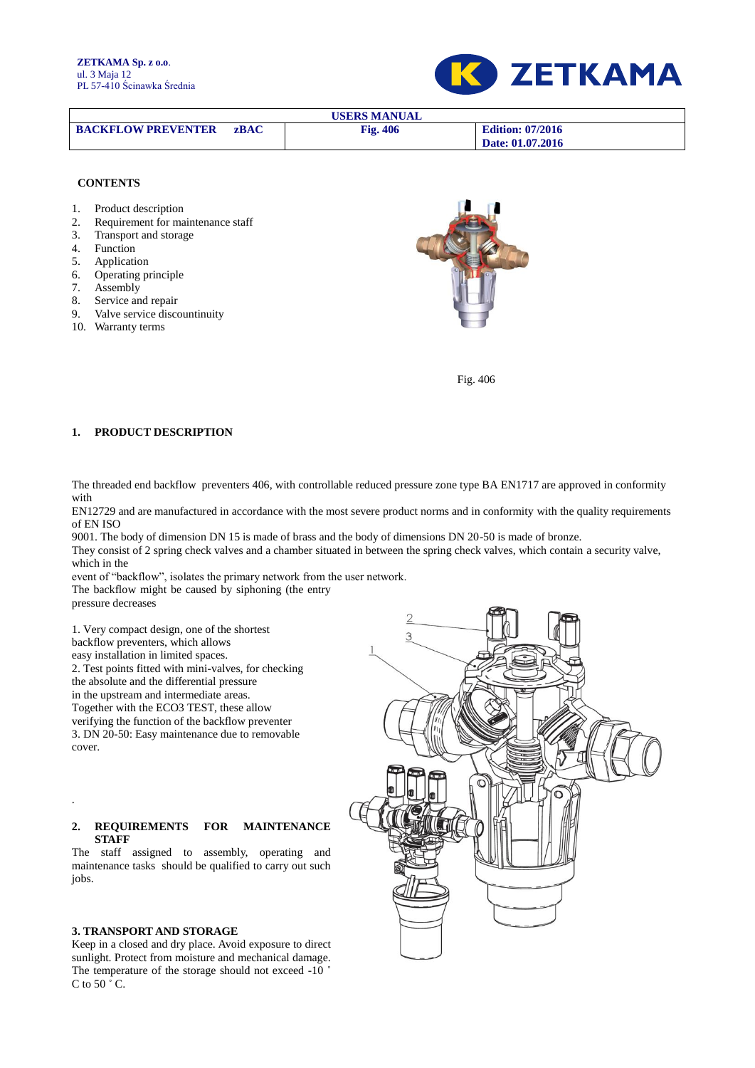

| <b>USERS MANUAL</b>       |             |                 |                         |  |  |  |  |
|---------------------------|-------------|-----------------|-------------------------|--|--|--|--|
| <b>BACKFLOW PREVENTER</b> | <b>zBAC</b> | <b>Fig. 406</b> | <b>Edition: 07/2016</b> |  |  |  |  |
|                           |             |                 | Date: 01.07.2016        |  |  |  |  |

#### **CONTENTS**

- 1. Product description
- 2. Requirement for maintenance staff
- 3. Transport and storage
- **Function**
- 5. Application
- 6. Operating principle
- 7. Assembly
- 8. Service and repair
- 9. Valve service discountinuity
- 10. Warranty terms



Fig. 406

# **1. PRODUCT DESCRIPTION**

The threaded end backflow preventers 406, with controllable reduced pressure zone type BA EN1717 are approved in conformity with

EN12729 and are manufactured in accordance with the most severe product norms and in conformity with the quality requirements of EN ISO

9001. The body of dimension DN 15 is made of brass and the body of dimensions DN 20-50 is made of bronze. They consist of 2 spring check valves and a chamber situated in between the spring check valves, which contain a security valve,

which in the event of "backflow", isolates the primary network from the user network.

The backflow might be caused by siphoning (the entry

pressure decreases

.

1. Very compact design, one of the shortest backflow preventers, which allows easy installation in limited spaces. 2. Test points fitted with mini-valves, for checking the absolute and the differential pressure in the upstream and intermediate areas. Together with the ECO3 TEST, these allow verifying the function of the backflow preventer 3. DN 20-50: Easy maintenance due to removable cover.

### **2. REQUIREMENTS FOR MAINTENANCE STAFF**

The staff assigned to assembly, operating and maintenance tasks should be qualified to carry out such jobs.

#### **3. TRANSPORT AND STORAGE**

Keep in a closed and dry place. Avoid exposure to direct sunlight. Protect from moisture and mechanical damage. The temperature of the storage should not exceed -10 ˚ C to 50 $\degree$  C.

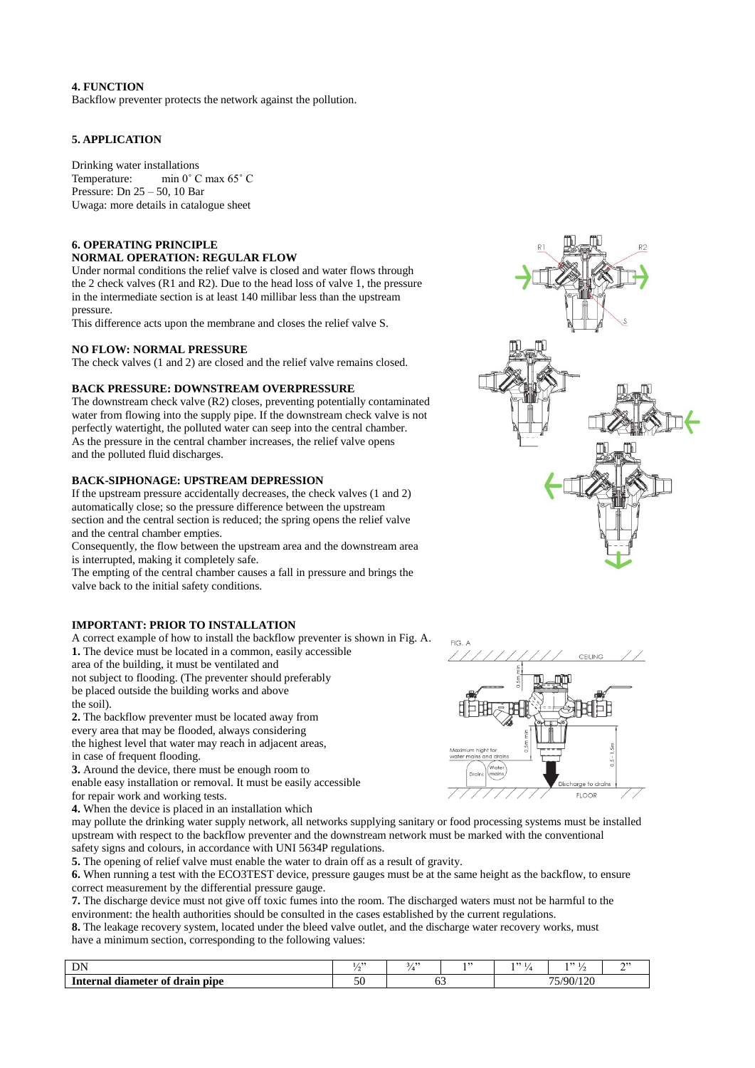### **4. FUNCTION**

Backflow preventer protects the network against the pollution.

# **5. APPLICATION**

Drinking water installations Temperature: min 0˚ C max 65˚ C Pressure: Dn 25 – 50, 10 Bar Uwaga: more details in catalogue sheet

# **6. OPERATING PRINCIPLE NORMAL OPERATION: REGULAR FLOW**

Under normal conditions the relief valve is closed and water flows through the 2 check valves (R1 and R2). Due to the head loss of valve 1, the pressure in the intermediate section is at least 140 millibar less than the upstream pressure.

This difference acts upon the membrane and closes the relief valve S.

### **NO FLOW: NORMAL PRESSURE**

The check valves (1 and 2) are closed and the relief valve remains closed.

# **BACK PRESSURE: DOWNSTREAM OVERPRESSURE**

The downstream check valve (R2) closes, preventing potentially contaminated water from flowing into the supply pipe. If the downstream check valve is not perfectly watertight, the polluted water can seep into the central chamber. As the pressure in the central chamber increases, the relief valve opens and the polluted fluid discharges.

# **BACK-SIPHONAGE: UPSTREAM DEPRESSION**

If the upstream pressure accidentally decreases, the check valves (1 and 2) automatically close; so the pressure difference between the upstream section and the central section is reduced; the spring opens the relief valve and the central chamber empties.

Consequently, the flow between the upstream area and the downstream area is interrupted, making it completely safe.

The empting of the central chamber causes a fall in pressure and brings the valve back to the initial safety conditions.

# **IMPORTANT: PRIOR TO INSTALLATION**

A correct example of how to install the backflow preventer is shown in Fig. A. **1.** The device must be located in a common, easily accessible area of the building, it must be ventilated and not subject to flooding. (The preventer should preferably be placed outside the building works and above the soil).

**2.** The backflow preventer must be located away from every area that may be flooded, always considering the highest level that water may reach in adjacent areas, in case of frequent flooding.

**3.** Around the device, there must be enough room to enable easy installation or removal. It must be easily accessible for repair work and working tests.

**4.** When the device is placed in an installation which

may pollute the drinking water supply network, all networks supplying sanitary or food processing systems must be installed upstream with respect to the backflow preventer and the downstream network must be marked with the conventional safety signs and colours, in accordance with UNI 5634P regulations.

**5.** The opening of relief valve must enable the water to drain off as a result of gravity.

**6.** When running a test with the ECO3TEST device, pressure gauges must be at the same height as the backflow, to ensure correct measurement by the differential pressure gauge.

**7.** The discharge device must not give off toxic fumes into the room. The discharged waters must not be harmful to the environment: the health authorities should be consulted in the cases established by the current regulations.

**8.** The leakage recovery system, located under the bleed valve outlet, and the discharge water recovery works, must have a minimum section, corresponding to the following values:

| $\mathbf{D}$                           | $\lambda$ | 5.133 | לל ו | 122             | 1, 22 | ານ |
|----------------------------------------|-----------|-------|------|-----------------|-------|----|
| i drain pipe<br>Interna<br>diameter of | مہ<br>υv  |       |      | 90 <sub>l</sub> |       |    |



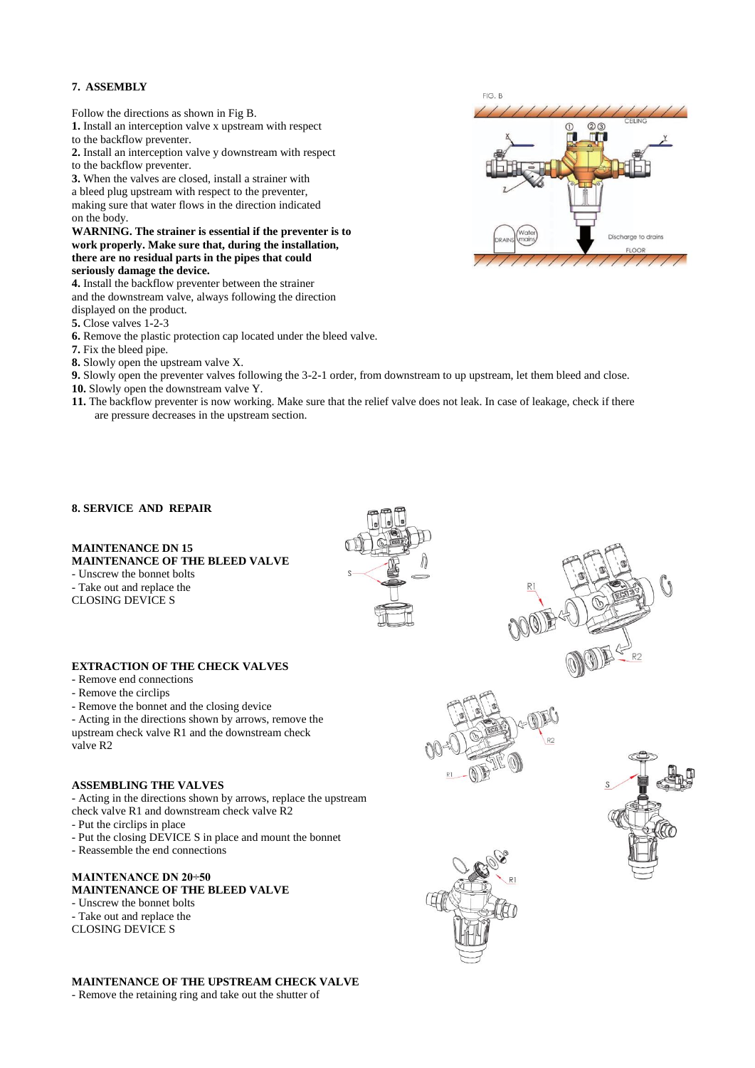### **7. ASSEMBLY**

Follow the directions as shown in Fig B.

- **1.** Install an interception valve x upstream with respect
- to the backflow preventer.
- **2.** Install an interception valve y downstream with respect
- to the backflow preventer.

**3.** When the valves are closed, install a strainer with

a bleed plug upstream with respect to the preventer, making sure that water flows in the direction indicated on the body.

#### **WARNING. The strainer is essential if the preventer is to work properly. Make sure that, during the installation, there are no residual parts in the pipes that could seriously damage the device.**

**4.** Install the backflow preventer between the strainer and the downstream valve, always following the direction

displayed on the product.

- **5.** Close valves 1-2-3
- **6.** Remove the plastic protection cap located under the bleed valve.
- **7.** Fix the bleed pipe.

**8.** Slowly open the upstream valve X.

**9.** Slowly open the preventer valves following the 3-2-1 order, from downstream to up upstream, let them bleed and close.

- **10.** Slowly open the downstream valve Y.
- **11.** The backflow preventer is now working. Make sure that the relief valve does not leak. In case of leakage, check if there are pressure decreases in the upstream section.

### **8. SERVICE AND REPAIR**

#### **MAINTENANCE DN 15 MAINTENANCE OF THE BLEED VALVE**

- Unscrew the bonnet bolts

- Take out and replace the

CLOSING DEVICE S

**EXTRACTION OF THE CHECK VALVES**

- Remove end connections
- Remove the circlips
- Remove the bonnet and the closing device

- Acting in the directions shown by arrows, remove the upstream check valve R1 and the downstream check valve R2

# **ASSEMBLING THE VALVES**

- Acting in the directions shown by arrows, replace the upstream check valve R1 and downstream check valve R2

- Put the circlips in place
- Put the closing DEVICE S in place and mount the bonnet
- Reassemble the end connections

#### **MAINTENANCE DN 20÷50 MAINTENANCE OF THE BLEED VALVE**

- Unscrew the bonnet bolts - Take out and replace the CLOSING DEVICE S

**MAINTENANCE OF THE UPSTREAM CHECK VALVE** - Remove the retaining ring and take out the shutter of











 $FIGR$  $QQ$ Discharge to drains